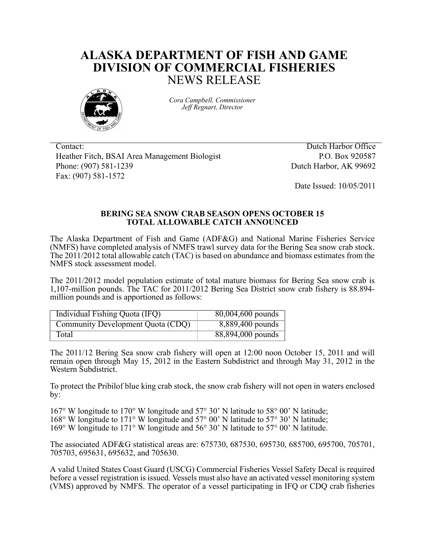## **ALASKA DEPARTMENT OF FISH AND GAME DIVISION OF COMMERCIAL FISHERIES** NEWS RELEASE



*Cora Campbell, Commissioner Jeff Regnart, Director*

Contact: Dutch Harbor Office Heather Fitch, BSAI Area Management Biologist P.O. Box 920587 Phone: (907) 581-1239 Dutch Harbor, AK 99692 Fax: (907) 581-1572

Date Issued: 10/05/2011

## **BERING SEA SNOW CRAB SEASON OPENS OCTOBER 15 TOTAL ALLOWABLE CATCH ANNOUNCED**

The Alaska Department of Fish and Game (ADF&G) and National Marine Fisheries Service (NMFS) have completed analysis of NMFS trawl survey data for the Bering Sea snow crab stock. The 2011/2012 total allowable catch (TAC) is based on abundance and biomass estimates from the NMFS stock assessment model.

The 2011/2012 model population estimate of total mature biomass for Bering Sea snow crab is 1,107-million pounds. The TAC for 2011/2012 Bering Sea District snow crab fishery is 88.894 million pounds and is apportioned as follows:

| Individual Fishing Quota (IFQ)    | 80,004,600 pounds |
|-----------------------------------|-------------------|
| Community Development Quota (CDQ) | 8,889,400 pounds  |
| Total                             | 88,894,000 pounds |

The 2011/12 Bering Sea snow crab fishery will open at 12:00 noon October 15, 2011 and will remain open through May 15, 2012 in the Eastern Subdistrict and through May 31, 2012 in the Western Subdistrict.

To protect the Pribilof blue king crab stock, the snow crab fishery will not open in waters enclosed by:

167° W longitude to 170° W longitude and 57° 30' N latitude to 58° 00' N latitude; 168° W longitude to 171° W longitude and 57° 00' N latitude to 57° 30' N latitude; 169° W longitude to 171° W longitude and 56° 30' N latitude to 57° 00' N latitude.

The associated ADF&G statistical areas are: 675730, 687530, 695730, 685700, 695700, 705701, 705703, 695631, 695632, and 705630.

A valid United States Coast Guard (USCG) Commercial Fisheries Vessel Safety Decal is required before a vessel registration is issued. Vessels must also have an activated vessel monitoring system (VMS) approved by NMFS. The operator of a vessel participating in IFQ or CDQ crab fisheries